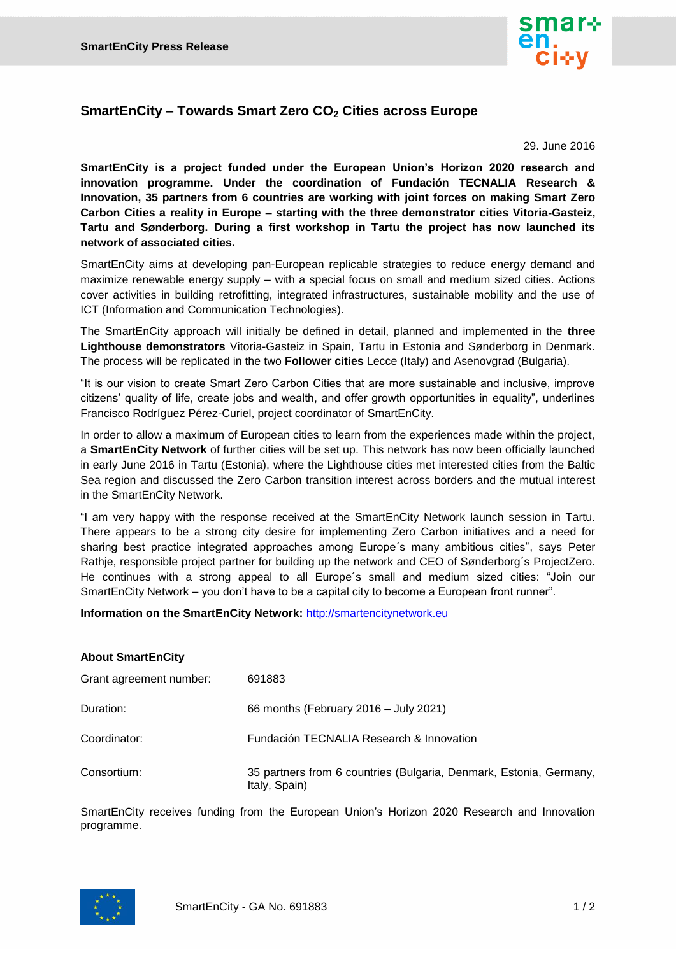

## **SmartEnCity – Towards Smart Zero CO<sup>2</sup> Cities across Europe**

29. June 2016

**SmartEnCity is a project funded under the European Union's Horizon 2020 research and innovation programme. Under the coordination of Fundación TECNALIA Research & Innovation, 35 partners from 6 countries are working with joint forces on making Smart Zero Carbon Cities a reality in Europe – starting with the three demonstrator cities Vitoria-Gasteiz, Tartu and Sønderborg. During a first workshop in Tartu the project has now launched its network of associated cities.**

SmartEnCity aims at developing pan-European replicable strategies to reduce energy demand and maximize renewable energy supply – with a special focus on small and medium sized cities. Actions cover activities in building retrofitting, integrated infrastructures, sustainable mobility and the use of ICT (Information and Communication Technologies).

The SmartEnCity approach will initially be defined in detail, planned and implemented in the **three Lighthouse demonstrators** Vitoria-Gasteiz in Spain, Tartu in Estonia and Sønderborg in Denmark. The process will be replicated in the two **Follower cities** Lecce (Italy) and Asenovgrad (Bulgaria).

"It is our vision to create Smart Zero Carbon Cities that are more sustainable and inclusive, improve citizens' quality of life, create jobs and wealth, and offer growth opportunities in equality", underlines Francisco Rodríguez Pérez-Curiel, project coordinator of SmartEnCity.

In order to allow a maximum of European cities to learn from the experiences made within the project, a **SmartEnCity Network** of further cities will be set up. This network has now been officially launched in early June 2016 in Tartu (Estonia), where the Lighthouse cities met interested cities from the Baltic Sea region and discussed the Zero Carbon transition interest across borders and the mutual interest in the SmartEnCity Network.

"I am very happy with the response received at the SmartEnCity Network launch session in Tartu. There appears to be a strong city desire for implementing Zero Carbon initiatives and a need for sharing best practice integrated approaches among Europe´s many ambitious cities", says Peter Rathje, responsible project partner for building up the network and CEO of Sønderborg´s ProjectZero. He continues with a strong appeal to all Europe´s small and medium sized cities: "Join our SmartEnCity Network – you don't have to be a capital city to become a European front runner".

**Information on the SmartEnCity Network:** [http://smartencitynetwork.eu](http://smartencitynetwork.eu/)

## **About SmartEnCity**

| Grant agreement number: | 691883                                                                              |
|-------------------------|-------------------------------------------------------------------------------------|
| Duration:               | 66 months (February 2016 – July 2021)                                               |
| Coordinator:            | Fundación TECNALIA Research & Innovation                                            |
| Consortium:             | 35 partners from 6 countries (Bulgaria, Denmark, Estonia, Germany,<br>Italy, Spain) |

SmartEnCity receives funding from the European Union's Horizon 2020 Research and Innovation programme.